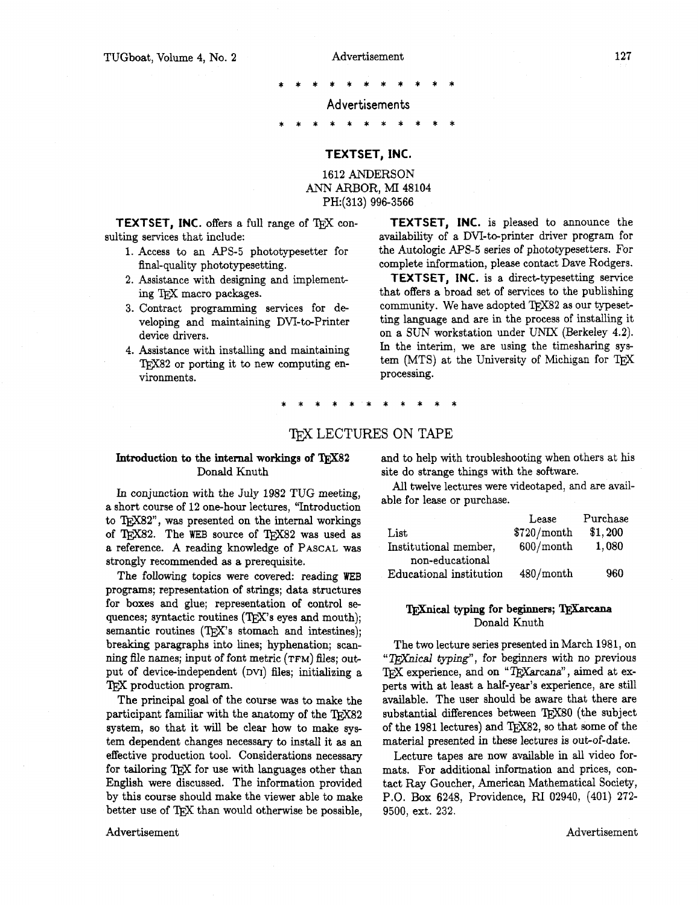**Advertisements** 

#### \*\*\*\*\*\*\*\*\*\*\*

#### **TEXTSET, INC.**

#### 1612 ANDERSON ANN ARBOR, MI 48104 PH:(313) 996-3566

**TEXTSET, INC.** offers a full range of TFX consulting services that include:

- 1. Access to an APS-5 phototypesetter for final-quality phototypesetting.
- 2. Assistance with designing and implementing TFX macro packages.
- 3. Contract programming services for developing and maintaining DVI-to-Printer device drivers.
- 4. Assistance with installing and maintaining TEX82 or porting it to new computing environments.

**TEXTSET, INC.** is pleased to announce the availability of a DVI-to-printer driver program for the Autologic **AF'S-5** series of phototypesetters. For complete information, please contact Dave Rodgers.

**TEXTSET, INC.** is a direct-typesetting service that offers a broad set of services to the publishing community. We have adopted  $TrX82$  as our typesetting language and are in the process of installing it on a SUN workstation under UMX (Berkeley **4.2).**  In the interim, we are using the timesharing system (MTS) at the University of Michigan for TEX processing.

### TEX LECTURES ON TAPE

# Donald Knuth site do strange things with the software.

a short course of 12 one-hour lectures. "Introduction to TEX82", was presented on the internal workings of TFX82. The WEB source of TFX82 was used as a reference. A reading knowledge of PASCAL was strongly recommended as a prerequisite.

The following topics were covered: reading WEB programs; representation of strings; data structures for boxes and glue; representation of control sequences; syntactic routines (TEX's eyes and mouth); semantic routines  $(TFX's$  stomach and intestines): breaking paragraphs into lines; hyphenation; scanning file names; input of font metric **(TFM)** files; output of device-independent **(DW)** files; initializing a 'QX production program.

The principal goal of the course was to make the participant familiar with the anatomy of the TFX82 system, so that it will be clear how to make system dependent changes necessary to install it as an effective production tool. Considerations necessary for tailoring TFX for use with languages other than English were discussed. The information provided by this course should make the viewer able to make better use of TEX than would otherwise be possible,

#### Advertisement Advertisement

**Introduction to the internal workings of TEX82 and to help with troubleshooting when others at his** 

In conjunction with the July 1982 TUG meeting, All twelve lectures were videotaped, and are available for lease or purchase.

|                         | Lease       | Purchase |
|-------------------------|-------------|----------|
| List                    | \$720/month | \$1,200  |
| Institutional member,   | 600/month   | 1,080    |
| non-educational         |             |          |
| Educational institution | 480/month   | 960      |

#### **TEXnical typing for beginners; TEXarcana** Donald Knuth

The two lecture series presented in March 1981, on "TEXnical typing", for beginners with no previous TFX experience, and on " $T_{\rm E}X$ arcana", aimed at experts with at least a half-year's experience, are still available. The user should be aware that there are substantial differences between TFX80 (the subject of the 1981 lectures) and  $T_{\rm EX}$  so that some of the material presented in these lectures is out-of-date.

Lecture tapes are now available in all video formats. For additional information and prices, contact Ray Goucher, American Mathematical Society, P.O. **Box** 6248, Providence, RI 02940, (401) 272- 9500, ext. 232.